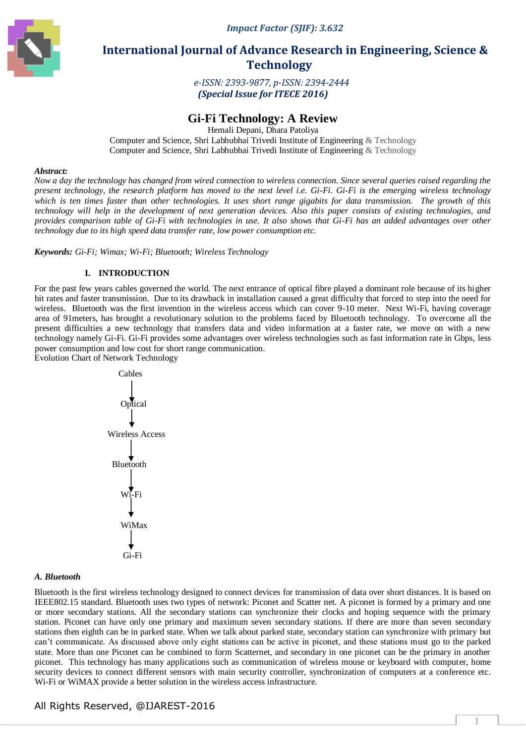*Impact Factor (SJIF): 3.632*



# **International Journal of Advance Research in Engineering, Science & Technology**

*e-ISSN: 2393-9877, p-ISSN: 2394-2444 (Special Issue for ITECE 2016)*

# **Gi-Fi Technology: A Review**

Hemali Depani, Dhara Patoliya

Computer and Science, Shri Labhubhai Trivedi Institute of Engineering & Technology Computer and Science, Shri Labhubhai Trivedi Institute of Engineering & Technology

#### *Abstract:*

*Now a day the technology has changed from wired connection to wireless connection. Since several queries raised regarding the present technology, the research platform has moved to the next level i.e. Gi-Fi. Gi-Fi is the emerging wireless technology which is ten times faster than other technologies. It uses short range gigabits for data transmission. The growth of this technology will help in the development of next generation devices. Also this paper consists of existing technologies, and provides comparison table of Gi-Fi with technologies in use. It also shows that Gi-Fi has an added advantages over other technology due to its high speed data transfer rate, low power consumption etc.* 

*Keywords: Gi-Fi; Wimax; Wi-Fi; Bluetooth; Wireless Technology* 

#### **I. INTRODUCTION**

For the past few years cables governed the world. The next entrance of optical fibre played a dominant role because of its higher bit rates and faster transmission. Due to its drawback in installation caused a great difficulty that forced to step into the need for wireless. Bluetooth was the first invention in the wireless access which can cover 9-10 meter. Next Wi-Fi, having coverage area of 91meters, has brought a revolutionary solution to the problems faced by Bluetooth technology. To overcome all the present difficulties a new technology that transfers data and video information at a faster rate, we move on with a new technology namely Gi-Fi. Gi-Fi provides some advantages over wireless technologies such as fast information rate in Gbps, less power consumption and low cost for short range communication.

Evolution Chart of Network Technology



#### *A. Bluetooth*

Bluetooth is the first wireless technology designed to connect devices for transmission of data over short distances. It is based on IEEE802.15 standard. Bluetooth uses two types of network: Piconet and Scatter net. A piconet is formed by a primary and one or more secondary stations. All the secondary stations can synchronize their clocks and hoping sequence with the primary station. Piconet can have only one primary and maximum seven secondary stations. If there are more than seven secondary stations then eighth can be in parked state. When we talk about parked state, secondary station can synchronize with primary but can't communicate. As discussed above only eight stations can be active in piconet, and these stations must go to the parked state. More than one Piconet can be combined to form Scatternet, and secondary in one piconet can be the primary in another piconet. This technology has many applications such as communication of wireless mouse or keyboard with computer, home security devices to connect different sensors with main security controller, synchronization of computers at a conference etc. Wi-Fi or WiMAX provide a better solution in the wireless access infrastructure.

## All Rights Reserved, @IJAREST-2016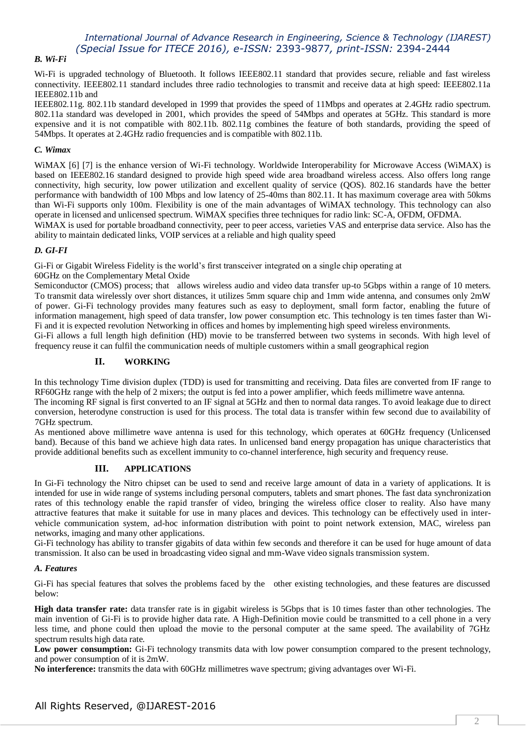# *International Journal of Advance Research in Engineering, Science & Technology (IJAREST) (Special Issue for ITECE 2016), e-ISSN:* 2393-9877*, print-ISSN:* 2394-2444

## *B. Wi-Fi*

Wi-Fi is upgraded technology of Bluetooth. It follows IEEE802.11 standard that provides secure, reliable and fast wireless connectivity. IEEE802.11 standard includes three radio technologies to transmit and receive data at high speed: IEEE802.11a IEEE802.11b and

IEEE802.11g. 802.11b standard developed in 1999 that provides the speed of 11Mbps and operates at 2.4GHz radio spectrum. 802.11a standard was developed in 2001, which provides the speed of 54Mbps and operates at 5GHz. This standard is more expensive and it is not compatible with 802.11b. 802.11g combines the feature of both standards, providing the speed of 54Mbps. It operates at 2.4GHz radio frequencies and is compatible with 802.11b.

#### *C. Wimax*

WiMAX [6] [7] is the enhance version of Wi-Fi technology. Worldwide Interoperability for Microwave Access (WiMAX) is based on IEEE802.16 standard designed to provide high speed wide area broadband wireless access. Also offers long range connectivity, high security, low power utilization and excellent quality of service (QOS). 802.16 standards have the better performance with bandwidth of 100 Mbps and low latency of 25-40ms than 802.11. It has maximum coverage area with 50kms than Wi-Fi supports only 100m. Flexibility is one of the main advantages of WiMAX technology. This technology can also operate in licensed and unlicensed spectrum. WiMAX specifies three techniques for radio link: SC-A, OFDM, OFDMA.

WiMAX is used for portable broadband connectivity, peer to peer access, varieties VAS and enterprise data service. Also has the ability to maintain dedicated links, VOIP services at a reliable and high quality speed

#### *D. GI-FI*

Gi-Fi or Gigabit Wireless Fidelity is the world's first transceiver integrated on a single chip operating at

60GHz on the Complementary Metal Oxide

Semiconductor (CMOS) process; that allows wireless audio and video data transfer up-to 5Gbps within a range of 10 meters. To transmit data wirelessly over short distances, it utilizes 5mm square chip and 1mm wide antenna, and consumes only 2mW of power. Gi-Fi technology provides many features such as easy to deployment, small form factor, enabling the future of information management, high speed of data transfer, low power consumption etc. This technology is ten times faster than Wi-Fi and it is expected revolution Networking in offices and homes by implementing high speed wireless environments.

Gi-Fi allows a full length high definition (HD) movie to be transferred between two systems in seconds. With high level of frequency reuse it can fulfil the communication needs of multiple customers within a small geographical region

# **II. WORKING**

In this technology Time division duplex (TDD) is used for transmitting and receiving. Data files are converted from IF range to RF60GHz range with the help of 2 mixers; the output is fed into a power amplifier, which feeds millimetre wave antenna.

The incoming RF signal is first converted to an IF signal at 5GHz and then to normal data ranges. To avoid leakage due to direct conversion, heterodyne construction is used for this process. The total data is transfer within few second due to availability of 7GHz spectrum.

As mentioned above millimetre wave antenna is used for this technology, which operates at 60GHz frequency (Unlicensed band). Because of this band we achieve high data rates. In unlicensed band energy propagation has unique characteristics that provide additional benefits such as excellent immunity to co-channel interference, high security and frequency reuse.

### **III. APPLICATIONS**

In Gi-Fi technology the Nitro chipset can be used to send and receive large amount of data in a variety of applications. It is intended for use in wide range of systems including personal computers, tablets and smart phones. The fast data synchronization rates of this technology enable the rapid transfer of video, bringing the wireless office closer to reality. Also have many attractive features that make it suitable for use in many places and devices. This technology can be effectively used in intervehicle communication system, ad-hoc information distribution with point to point network extension, MAC, wireless pan networks, imaging and many other applications.

Gi-Fi technology has ability to transfer gigabits of data within few seconds and therefore it can be used for huge amount of data transmission. It also can be used in broadcasting video signal and mm-Wave video signals transmission system.

#### *A. Features*

Gi-Fi has special features that solves the problems faced by the other existing technologies, and these features are discussed below:

**High data transfer rate:** data transfer rate is in gigabit wireless is 5Gbps that is 10 times faster than other technologies. The main invention of Gi-Fi is to provide higher data rate. A High-Definition movie could be transmitted to a cell phone in a very less time, and phone could then upload the movie to the personal computer at the same speed. The availability of 7GHz spectrum results high data rate.

**Low power consumption:** Gi-Fi technology transmits data with low power consumption compared to the present technology, and power consumption of it is 2mW.

**No interference:** transmits the data with 60GHz millimetres wave spectrum; giving advantages over Wi-Fi.